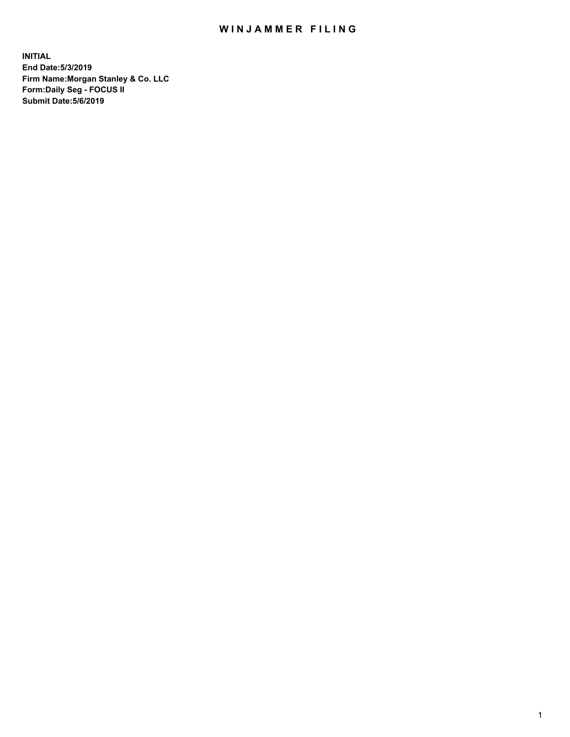## WIN JAMMER FILING

**INITIAL End Date:5/3/2019 Firm Name:Morgan Stanley & Co. LLC Form:Daily Seg - FOCUS II Submit Date:5/6/2019**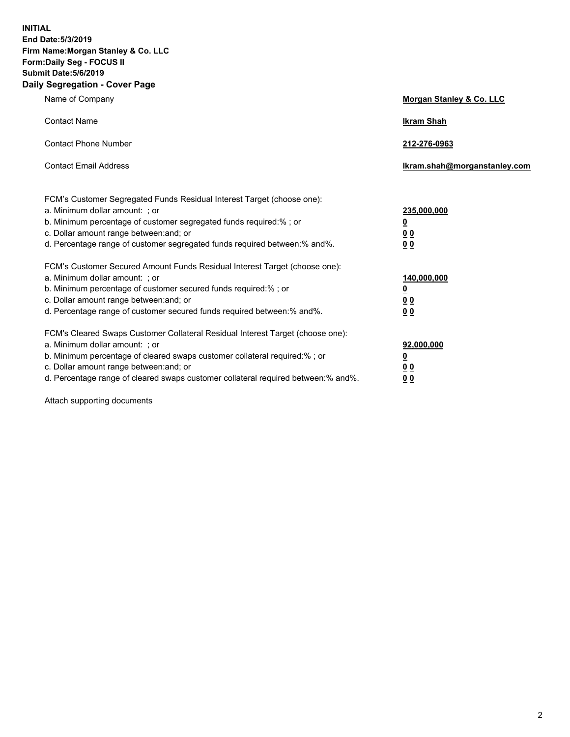**INITIAL End Date:5/3/2019 Firm Name:Morgan Stanley & Co. LLC Form:Daily Seg - FOCUS II Submit Date:5/6/2019 Daily Segregation - Cover Page**

| Name of Company                                                                                                                                                                                                                                                                                                                | Morgan Stanley & Co. LLC                                    |
|--------------------------------------------------------------------------------------------------------------------------------------------------------------------------------------------------------------------------------------------------------------------------------------------------------------------------------|-------------------------------------------------------------|
| <b>Contact Name</b>                                                                                                                                                                                                                                                                                                            | <b>Ikram Shah</b>                                           |
| <b>Contact Phone Number</b>                                                                                                                                                                                                                                                                                                    | 212-276-0963                                                |
| <b>Contact Email Address</b>                                                                                                                                                                                                                                                                                                   | Ikram.shah@morganstanley.com                                |
| FCM's Customer Segregated Funds Residual Interest Target (choose one):<br>a. Minimum dollar amount: ; or<br>b. Minimum percentage of customer segregated funds required:% ; or<br>c. Dollar amount range between: and; or<br>d. Percentage range of customer segregated funds required between:% and%.                         | 235,000,000<br><u>0</u><br>0 <sub>0</sub><br>00             |
| FCM's Customer Secured Amount Funds Residual Interest Target (choose one):<br>a. Minimum dollar amount: ; or<br>b. Minimum percentage of customer secured funds required:% ; or<br>c. Dollar amount range between: and; or<br>d. Percentage range of customer secured funds required between:% and%.                           | 140,000,000<br><u>0</u><br>0 <sub>0</sub><br>0 <sub>0</sub> |
| FCM's Cleared Swaps Customer Collateral Residual Interest Target (choose one):<br>a. Minimum dollar amount: ; or<br>b. Minimum percentage of cleared swaps customer collateral required:% ; or<br>c. Dollar amount range between: and; or<br>d. Percentage range of cleared swaps customer collateral required between:% and%. | 92,000,000<br><u>0</u><br>0 Q<br>0 <sub>0</sub>             |

Attach supporting documents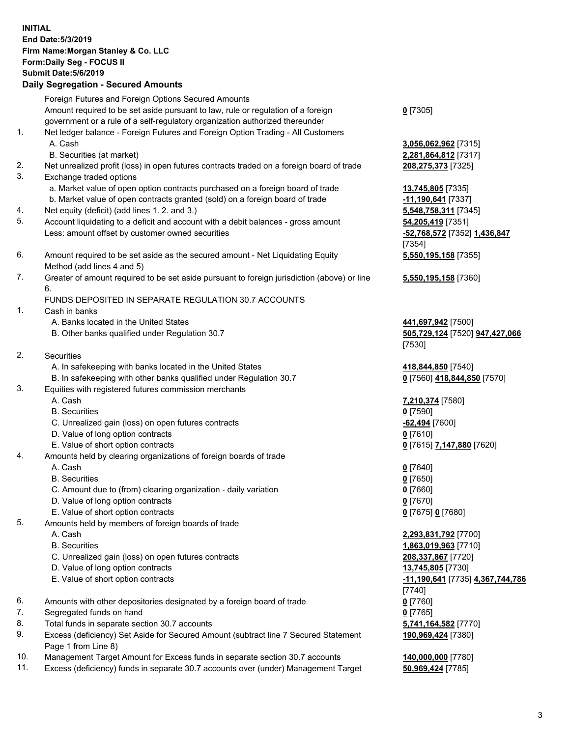| <b>INITIAL</b> | End Date: 5/3/2019<br>Firm Name: Morgan Stanley & Co. LLC<br>Form: Daily Seg - FOCUS II<br><b>Submit Date: 5/6/2019</b><br><b>Daily Segregation - Secured Amounts</b> |                                                   |
|----------------|-----------------------------------------------------------------------------------------------------------------------------------------------------------------------|---------------------------------------------------|
|                | Foreign Futures and Foreign Options Secured Amounts                                                                                                                   |                                                   |
|                | Amount required to be set aside pursuant to law, rule or regulation of a foreign                                                                                      | $0$ [7305]                                        |
| 1.             | government or a rule of a self-regulatory organization authorized thereunder<br>Net ledger balance - Foreign Futures and Foreign Option Trading - All Customers       |                                                   |
|                | A. Cash                                                                                                                                                               | 3,056,062,962 [7315]                              |
|                | B. Securities (at market)                                                                                                                                             | 2,281,864,812 [7317]                              |
| 2.             | Net unrealized profit (loss) in open futures contracts traded on a foreign board of trade                                                                             | 208,275,373 [7325]                                |
| 3.             | Exchange traded options                                                                                                                                               |                                                   |
|                | a. Market value of open option contracts purchased on a foreign board of trade                                                                                        | 13,745,805 [7335]                                 |
|                | b. Market value of open contracts granted (sold) on a foreign board of trade                                                                                          | -11,190,641 [7337]                                |
| 4.<br>5.       | Net equity (deficit) (add lines 1.2. and 3.)                                                                                                                          | 5,548,758,311 [7345]                              |
|                | Account liquidating to a deficit and account with a debit balances - gross amount<br>Less: amount offset by customer owned securities                                 | 54,205,419 [7351]<br>-52,768,572 [7352] 1,436,847 |
|                |                                                                                                                                                                       | [7354]                                            |
| 6.             | Amount required to be set aside as the secured amount - Net Liquidating Equity                                                                                        | 5,550,195,158 [7355]                              |
|                | Method (add lines 4 and 5)                                                                                                                                            |                                                   |
| 7.             | Greater of amount required to be set aside pursuant to foreign jurisdiction (above) or line<br>6.                                                                     | 5,550,195,158 [7360]                              |
|                | FUNDS DEPOSITED IN SEPARATE REGULATION 30.7 ACCOUNTS                                                                                                                  |                                                   |
| 1.             | Cash in banks                                                                                                                                                         |                                                   |
|                | A. Banks located in the United States                                                                                                                                 | 441,697,942 [7500]                                |
|                | B. Other banks qualified under Regulation 30.7                                                                                                                        | 505,729,124 [7520] 947,427,066<br>[7530]          |
| 2.             | Securities                                                                                                                                                            |                                                   |
|                | A. In safekeeping with banks located in the United States                                                                                                             | 418,844,850 [7540]                                |
|                | B. In safekeeping with other banks qualified under Regulation 30.7                                                                                                    | 0 [7560] 418,844,850 [7570]                       |
| 3.             | Equities with registered futures commission merchants                                                                                                                 |                                                   |
|                | A. Cash                                                                                                                                                               | 7,210,374 [7580]                                  |
|                | <b>B.</b> Securities                                                                                                                                                  | $0$ [7590]                                        |
|                | C. Unrealized gain (loss) on open futures contracts                                                                                                                   | <b>62,494</b> [7600]                              |
|                | D. Value of long option contracts                                                                                                                                     | $0$ [7610]                                        |
| 4.             | E. Value of short option contracts<br>Amounts held by clearing organizations of foreign boards of trade                                                               | 0 [7615] 7,147,880 [7620]                         |
|                | A. Cash                                                                                                                                                               | $0$ [7640]                                        |
|                | <b>B.</b> Securities                                                                                                                                                  | $0$ [7650]                                        |
|                | C. Amount due to (from) clearing organization - daily variation                                                                                                       | $0$ [7660]                                        |
|                | D. Value of long option contracts                                                                                                                                     | $0$ [7670]                                        |
|                | E. Value of short option contracts                                                                                                                                    | 0 [7675] 0 [7680]                                 |
| 5.             | Amounts held by members of foreign boards of trade                                                                                                                    |                                                   |
|                | A. Cash                                                                                                                                                               | 2,293,831,792 [7700]                              |
|                | <b>B.</b> Securities<br>C. Unrealized gain (loss) on open futures contracts                                                                                           | 1,863,019,963 [7710]<br>208,337,867 [7720]        |
|                | D. Value of long option contracts                                                                                                                                     | 13,745,805 [7730]                                 |
|                | E. Value of short option contracts                                                                                                                                    | -11,190,641 [7735] 4,367,744,786                  |
|                |                                                                                                                                                                       | $[7740]$                                          |
| 6.             | Amounts with other depositories designated by a foreign board of trade                                                                                                | $0$ [7760]                                        |
| 7.             | Segregated funds on hand                                                                                                                                              | $0$ [7765]                                        |
| 8.             | Total funds in separate section 30.7 accounts                                                                                                                         | 5,741,164,582 [7770]                              |
| 9.             | Excess (deficiency) Set Aside for Secured Amount (subtract line 7 Secured Statement<br>Page 1 from Line 8)                                                            | 190,969,424 [7380]                                |

- 10. Management Target Amount for Excess funds in separate section 30.7 accounts **140,000,000** [7780]
- 11. Excess (deficiency) funds in separate 30.7 accounts over (under) Management Target **50,969,424** [7785]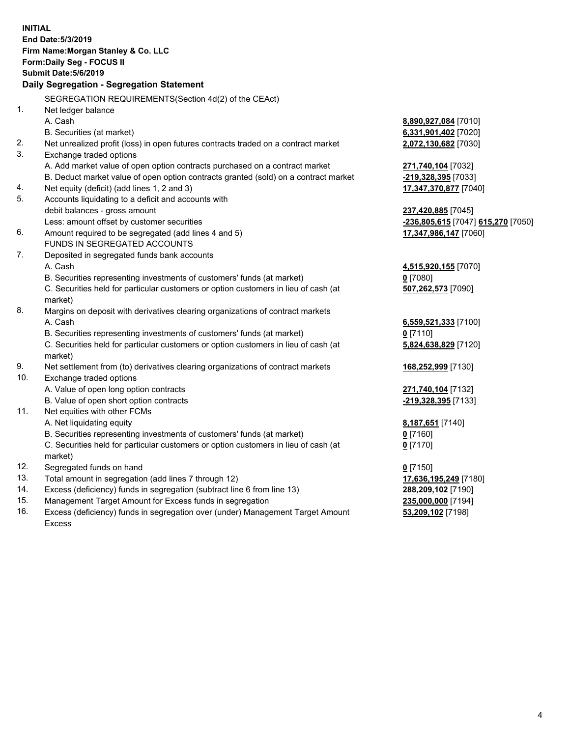|     | <b>INITIAL</b>                                                                      |                                    |
|-----|-------------------------------------------------------------------------------------|------------------------------------|
|     | End Date: 5/3/2019                                                                  |                                    |
|     | Firm Name: Morgan Stanley & Co. LLC                                                 |                                    |
|     | Form: Daily Seg - FOCUS II                                                          |                                    |
|     | <b>Submit Date: 5/6/2019</b>                                                        |                                    |
|     | Daily Segregation - Segregation Statement                                           |                                    |
|     | SEGREGATION REQUIREMENTS(Section 4d(2) of the CEAct)                                |                                    |
| 1.  | Net ledger balance                                                                  |                                    |
|     | A. Cash                                                                             | 8,890,927,084 [7010]               |
|     | B. Securities (at market)                                                           | 6,331,901,402 [7020]               |
| 2.  | Net unrealized profit (loss) in open futures contracts traded on a contract market  | 2,072,130,682 [7030]               |
| 3.  | Exchange traded options                                                             |                                    |
|     | A. Add market value of open option contracts purchased on a contract market         | 271,740,104 [7032]                 |
|     | B. Deduct market value of open option contracts granted (sold) on a contract market | -219,328,395 [7033]                |
| 4.  | Net equity (deficit) (add lines 1, 2 and 3)                                         | 17,347,370,877 [7040]              |
| 5.  | Accounts liquidating to a deficit and accounts with                                 |                                    |
|     | debit balances - gross amount                                                       | 237,420,885 [7045]                 |
|     | Less: amount offset by customer securities                                          | -236,805,615 [7047] 615,270 [7050] |
| 6.  | Amount required to be segregated (add lines 4 and 5)                                | 17,347,986,147 [7060]              |
|     | FUNDS IN SEGREGATED ACCOUNTS                                                        |                                    |
| 7.  | Deposited in segregated funds bank accounts                                         |                                    |
|     | A. Cash                                                                             | 4,515,920,155 [7070]               |
|     | B. Securities representing investments of customers' funds (at market)              | $0$ [7080]                         |
|     | C. Securities held for particular customers or option customers in lieu of cash (at | 507,262,573 [7090]                 |
|     | market)                                                                             |                                    |
| 8.  | Margins on deposit with derivatives clearing organizations of contract markets      |                                    |
|     | A. Cash                                                                             | 6,559,521,333 [7100]               |
|     | B. Securities representing investments of customers' funds (at market)              | $0$ [7110]                         |
|     | C. Securities held for particular customers or option customers in lieu of cash (at | 5,824,638,829 [7120]               |
|     | market)                                                                             |                                    |
| 9.  | Net settlement from (to) derivatives clearing organizations of contract markets     | 168,252,999 [7130]                 |
| 10. | Exchange traded options                                                             |                                    |
|     | A. Value of open long option contracts                                              | 271,740,104 [7132]                 |
|     | B. Value of open short option contracts                                             | -219,328,395 [7133]                |
| 11. | Net equities with other FCMs                                                        |                                    |
|     | A. Net liquidating equity                                                           | 8,187,651 [7140]                   |
|     | B. Securities representing investments of customers' funds (at market)              | $0$ [7160]                         |
|     | C. Securities held for particular customers or option customers in lieu of cash (at | $0$ [7170]                         |
|     | market)                                                                             |                                    |
| 12. | Segregated funds on hand                                                            | $0$ [7150]                         |
| 13. | Total amount in segregation (add lines 7 through 12)                                | 17,636,195,249 [7180]              |
| 14. | Excess (deficiency) funds in segregation (subtract line 6 from line 13)             | 288,209,102 [7190]                 |
| 15. | Management Target Amount for Excess funds in segregation                            | 235,000,000 [7194]                 |
| 16. | Excess (deficiency) funds in segregation over (under) Management Target Amount      | 53,209,102 [7198]                  |

16. Excess (deficiency) funds in segregation over (under) Management Target Amount Excess

4